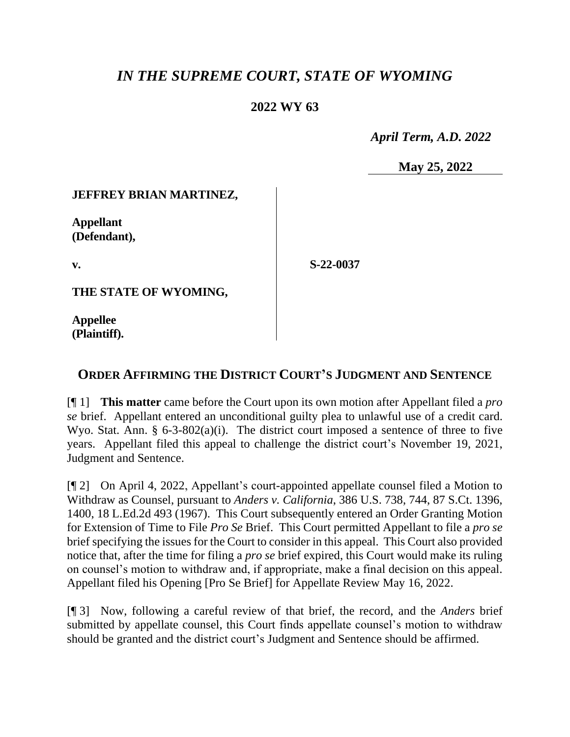# *IN THE SUPREME COURT, STATE OF WYOMING*

### **2022 WY 63**

 *April Term, A.D. 2022*

**May 25, 2022**

#### **JEFFREY BRIAN MARTINEZ,**

**Appellant (Defendant),**

**v.**

**S-22-0037**

**THE STATE OF WYOMING,**

**Appellee (Plaintiff).**

## **ORDER AFFIRMING THE DISTRICT COURT'S JUDGMENT AND SENTENCE**

[¶ 1] **This matter** came before the Court upon its own motion after Appellant filed a *pro se* brief. Appellant entered an unconditional guilty plea to unlawful use of a credit card. Wyo. Stat. Ann.  $\S$  6-3-802(a)(i). The district court imposed a sentence of three to five years. Appellant filed this appeal to challenge the district court's November 19, 2021, Judgment and Sentence.

[¶ 2] On April 4, 2022, Appellant's court-appointed appellate counsel filed a Motion to Withdraw as Counsel, pursuant to *Anders v. California*, 386 U.S. 738, 744, 87 S.Ct. 1396, 1400, 18 L.Ed.2d 493 (1967). This Court subsequently entered an Order Granting Motion for Extension of Time to File *Pro Se* Brief. This Court permitted Appellant to file a *pro se* brief specifying the issues for the Court to consider in this appeal. This Court also provided notice that, after the time for filing a *pro se* brief expired, this Court would make its ruling on counsel's motion to withdraw and, if appropriate, make a final decision on this appeal. Appellant filed his Opening [Pro Se Brief] for Appellate Review May 16, 2022.

[¶ 3] Now, following a careful review of that brief, the record, and the *Anders* brief submitted by appellate counsel, this Court finds appellate counsel's motion to withdraw should be granted and the district court's Judgment and Sentence should be affirmed.